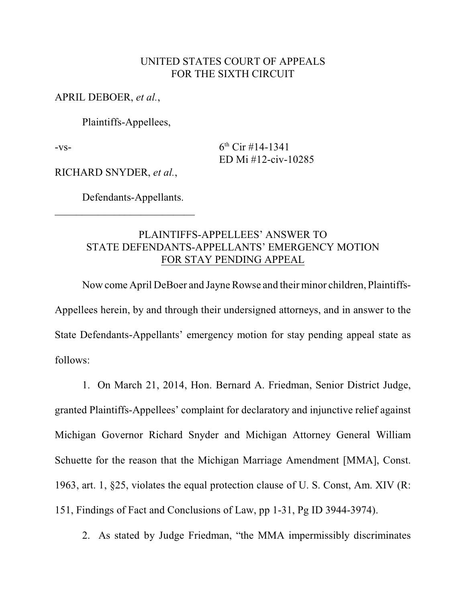### UNITED STATES COURT OF APPEALS FOR THE SIXTH CIRCUIT

APRIL DEBOER, *et al.*,

Plaintiffs-Appellees,

 $-vs-$  6<sup>th</sup> Cir #14-1341 ED Mi #12-civ-10285

RICHARD SNYDER, *et al.*,

Defendants-Appellants.

 $\mathcal{L}_\text{max}$  , where  $\mathcal{L}_\text{max}$  , we have the set of the set of the set of the set of the set of the set of the set of the set of the set of the set of the set of the set of the set of the set of the set of the set of

## PLAINTIFFS-APPELLEES' ANSWER TO STATE DEFENDANTS-APPELLANTS' EMERGENCY MOTION FOR STAY PENDING APPEAL

Now come April DeBoer and Jayne Rowse and their minor children, Plaintiffs-Appellees herein, by and through their undersigned attorneys, and in answer to the State Defendants-Appellants' emergency motion for stay pending appeal state as follows:

1. On March 21, 2014, Hon. Bernard A. Friedman, Senior District Judge, granted Plaintiffs-Appellees' complaint for declaratory and injunctive relief against Michigan Governor Richard Snyder and Michigan Attorney General William Schuette for the reason that the Michigan Marriage Amendment [MMA], Const. 1963, art. 1, §25, violates the equal protection clause of U. S. Const, Am. XIV (R: 151, Findings of Fact and Conclusions of Law, pp 1-31, Pg ID 3944-3974).

2. As stated by Judge Friedman, "the MMA impermissibly discriminates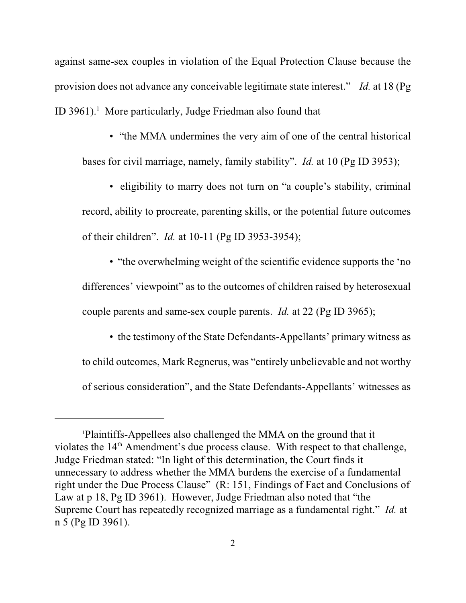against same-sex couples in violation of the Equal Protection Clause because the provision does not advance any conceivable legitimate state interest." *Id.* at 18 (Pg ID 3961). $<sup>1</sup>$  More particularly, Judge Friedman also found that</sup>

• "the MMA undermines the very aim of one of the central historical bases for civil marriage, namely, family stability". *Id.* at 10 (Pg ID 3953);

• eligibility to marry does not turn on "a couple's stability, criminal record, ability to procreate, parenting skills, or the potential future outcomes of their children". *Id.* at 10-11 (Pg ID 3953-3954);

• "the overwhelming weight of the scientific evidence supports the 'no differences' viewpoint" as to the outcomes of children raised by heterosexual couple parents and same-sex couple parents. *Id.* at 22 (Pg ID 3965);

• the testimony of the State Defendants-Appellants' primary witness as to child outcomes, Mark Regnerus, was "entirely unbelievable and not worthy of serious consideration", and the State Defendants-Appellants' witnesses as

Plaintiffs-Appellees also challenged the MMA on the ground that it 1 violates the  $14<sup>th</sup>$  Amendment's due process clause. With respect to that challenge, Judge Friedman stated: "In light of this determination, the Court finds it unnecessary to address whether the MMA burdens the exercise of a fundamental right under the Due Process Clause" (R: 151, Findings of Fact and Conclusions of Law at p 18, Pg ID 3961). However, Judge Friedman also noted that "the Supreme Court has repeatedly recognized marriage as a fundamental right." *Id.* at n 5 (Pg ID 3961).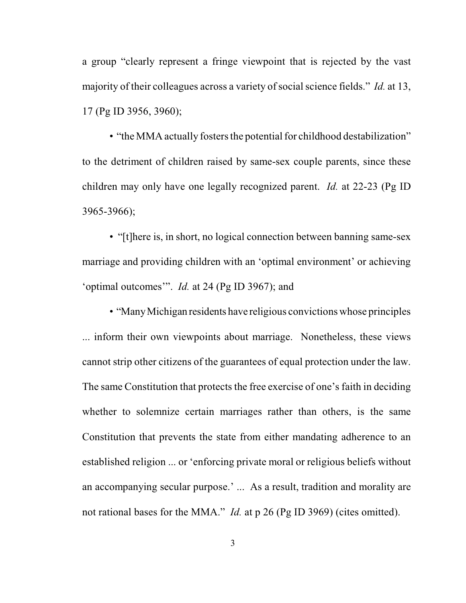a group "clearly represent a fringe viewpoint that is rejected by the vast majority of their colleagues across a variety of social science fields." *Id.* at 13, 17 (Pg ID 3956, 3960);

• "the MMA actually fosters the potential for childhood destabilization" to the detriment of children raised by same-sex couple parents, since these children may only have one legally recognized parent. *Id.* at 22-23 (Pg ID 3965-3966);

• "[t]here is, in short, no logical connection between banning same-sex marriage and providing children with an 'optimal environment' or achieving 'optimal outcomes'". *Id.* at 24 (Pg ID 3967); and

• "Many Michigan residents have religious convictions whose principles ... inform their own viewpoints about marriage. Nonetheless, these views cannot strip other citizens of the guarantees of equal protection under the law. The same Constitution that protects the free exercise of one's faith in deciding whether to solemnize certain marriages rather than others, is the same Constitution that prevents the state from either mandating adherence to an established religion ... or 'enforcing private moral or religious beliefs without an accompanying secular purpose.' ... As a result, tradition and morality are not rational bases for the MMA." *Id.* at p 26 (Pg ID 3969) (cites omitted).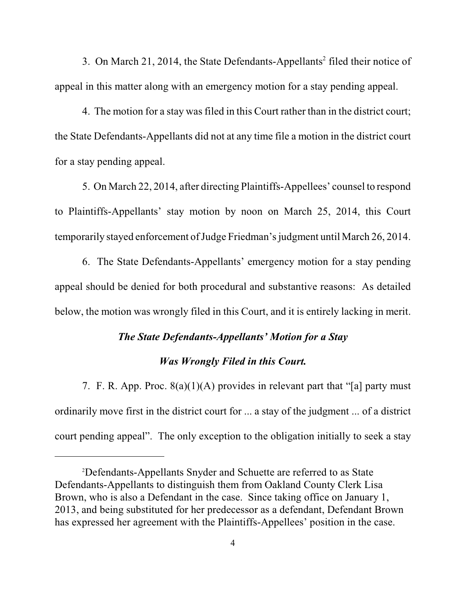3. On March 21, 2014, the State Defendants-Appellants<sup>2</sup> filed their notice of appeal in this matter along with an emergency motion for a stay pending appeal.

4. The motion for a stay was filed in this Court rather than in the district court; the State Defendants-Appellants did not at any time file a motion in the district court for a stay pending appeal.

5. On March 22, 2014, after directing Plaintiffs-Appellees' counsel to respond to Plaintiffs-Appellants' stay motion by noon on March 25, 2014, this Court temporarily stayed enforcement of Judge Friedman's judgment until March 26, 2014.

6. The State Defendants-Appellants' emergency motion for a stay pending appeal should be denied for both procedural and substantive reasons: As detailed below, the motion was wrongly filed in this Court, and it is entirely lacking in merit.

# *The State Defendants-Appellants' Motion for a Stay*

### *Was Wrongly Filed in this Court.*

7. F. R. App. Proc. 8(a)(1)(A) provides in relevant part that "[a] party must ordinarily move first in the district court for ... a stay of the judgment ... of a district court pending appeal". The only exception to the obligation initially to seek a stay

Defendants-Appellants Snyder and Schuette are referred to as State <sup>2</sup> Defendants-Appellants to distinguish them from Oakland County Clerk Lisa Brown, who is also a Defendant in the case. Since taking office on January 1, 2013, and being substituted for her predecessor as a defendant, Defendant Brown has expressed her agreement with the Plaintiffs-Appellees' position in the case.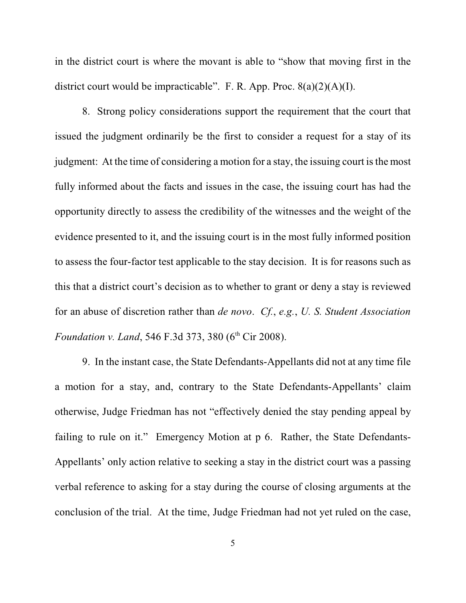in the district court is where the movant is able to "show that moving first in the district court would be impracticable". F. R. App. Proc.  $8(a)(2)(A)(I)$ .

8. Strong policy considerations support the requirement that the court that issued the judgment ordinarily be the first to consider a request for a stay of its judgment: At the time of considering a motion for a stay, the issuing court is the most fully informed about the facts and issues in the case, the issuing court has had the opportunity directly to assess the credibility of the witnesses and the weight of the evidence presented to it, and the issuing court is in the most fully informed position to assess the four-factor test applicable to the stay decision. It is for reasons such as this that a district court's decision as to whether to grant or deny a stay is reviewed for an abuse of discretion rather than *de novo*. *Cf.*, *e.g.*, *U. S. Student Association Foundation v. Land*, 546 F.3d 373, 380 (6<sup>th</sup> Cir 2008).

9. In the instant case, the State Defendants-Appellants did not at any time file a motion for a stay, and, contrary to the State Defendants-Appellants' claim otherwise, Judge Friedman has not "effectively denied the stay pending appeal by failing to rule on it." Emergency Motion at p 6. Rather, the State Defendants-Appellants' only action relative to seeking a stay in the district court was a passing verbal reference to asking for a stay during the course of closing arguments at the conclusion of the trial. At the time, Judge Friedman had not yet ruled on the case,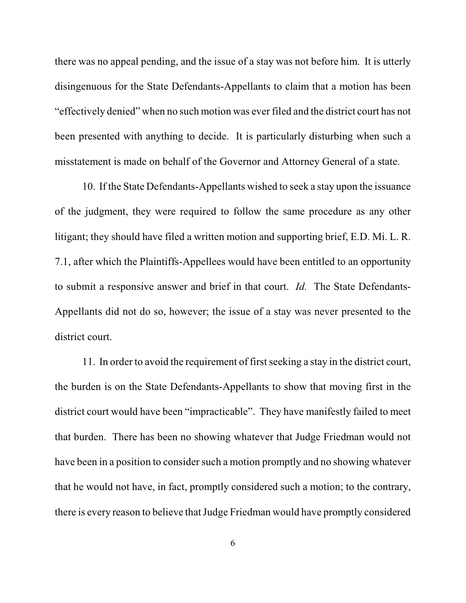there was no appeal pending, and the issue of a stay was not before him. It is utterly disingenuous for the State Defendants-Appellants to claim that a motion has been "effectively denied" when no such motion was ever filed and the district court has not been presented with anything to decide. It is particularly disturbing when such a misstatement is made on behalf of the Governor and Attorney General of a state.

10. If the State Defendants-Appellants wished to seek a stay upon the issuance of the judgment, they were required to follow the same procedure as any other litigant; they should have filed a written motion and supporting brief, E.D. Mi. L. R. 7.1, after which the Plaintiffs-Appellees would have been entitled to an opportunity to submit a responsive answer and brief in that court. *Id.* The State Defendants-Appellants did not do so, however; the issue of a stay was never presented to the district court.

11. In order to avoid the requirement of first seeking a stay in the district court, the burden is on the State Defendants-Appellants to show that moving first in the district court would have been "impracticable". They have manifestly failed to meet that burden. There has been no showing whatever that Judge Friedman would not have been in a position to consider such a motion promptly and no showing whatever that he would not have, in fact, promptly considered such a motion; to the contrary, there is every reason to believe that Judge Friedman would have promptly considered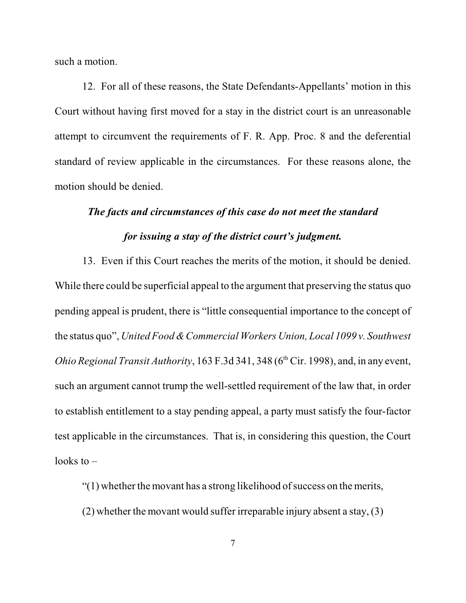such a motion.

12. For all of these reasons, the State Defendants-Appellants' motion in this Court without having first moved for a stay in the district court is an unreasonable attempt to circumvent the requirements of F. R. App. Proc. 8 and the deferential standard of review applicable in the circumstances. For these reasons alone, the motion should be denied.

# *The facts and circumstances of this case do not meet the standard for issuing a stay of the district court's judgment.*

13. Even if this Court reaches the merits of the motion, it should be denied. While there could be superficial appeal to the argument that preserving the status quo pending appeal is prudent, there is "little consequential importance to the concept of the status quo", *United Food & Commercial Workers Union, Local 1099 v. Southwest Ohio Regional Transit Authority*,  $163 F.3d 341, 348 (6<sup>th</sup> Cir. 1998)$ , and, in any event, such an argument cannot trump the well-settled requirement of the law that, in order to establish entitlement to a stay pending appeal, a party must satisfy the four-factor test applicable in the circumstances. That is, in considering this question, the Court looks to  $-$ 

"(1) whether the movant has a strong likelihood of success on the merits,

(2) whether the movant would suffer irreparable injury absent a stay, (3)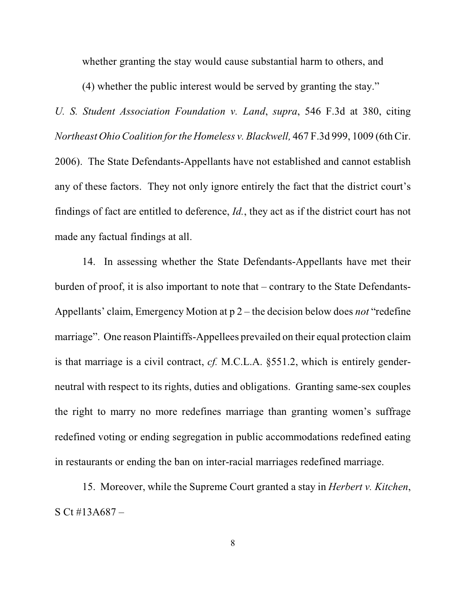whether granting the stay would cause substantial harm to others, and

(4) whether the public interest would be served by granting the stay."

*U. S. Student Association Foundation v. Land*, *supra*, 546 F.3d at 380, citing *Northeast OhioCoalition for the Homeless v. Blackwell,* 467 F.3d 999, 1009 (6th Cir. 2006). The State Defendants-Appellants have not established and cannot establish any of these factors. They not only ignore entirely the fact that the district court's findings of fact are entitled to deference, *Id.*, they act as if the district court has not made any factual findings at all.

14. In assessing whether the State Defendants-Appellants have met their burden of proof, it is also important to note that – contrary to the State Defendants-Appellants' claim, Emergency Motion at p 2 – the decision below does *not* "redefine marriage". One reason Plaintiffs-Appellees prevailed on their equal protection claim is that marriage is a civil contract, *cf.* M.C.L.A. §551.2, which is entirely genderneutral with respect to its rights, duties and obligations. Granting same-sex couples the right to marry no more redefines marriage than granting women's suffrage redefined voting or ending segregation in public accommodations redefined eating in restaurants or ending the ban on inter-racial marriages redefined marriage.

15. Moreover, while the Supreme Court granted a stay in *Herbert v. Kitchen*, S Ct #13A687 –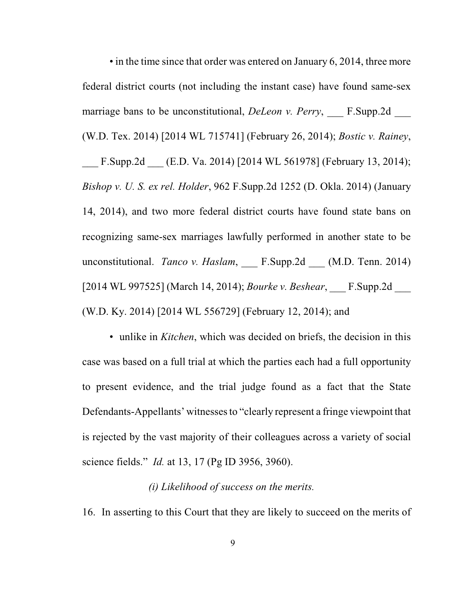• in the time since that order was entered on January 6, 2014, three more federal district courts (not including the instant case) have found same-sex marriage bans to be unconstitutional, *DeLeon v. Perry*, F.Supp.2d (W.D. Tex. 2014) [2014 WL 715741] (February 26, 2014); *Bostic v. Rainey*, F.Supp.2d (E.D. Va. 2014) [2014 WL 561978] (February 13, 2014); *Bishop v. U. S. ex rel. Holder*, 962 F.Supp.2d 1252 (D. Okla. 2014) (January 14, 2014), and two more federal district courts have found state bans on recognizing same-sex marriages lawfully performed in another state to be unconstitutional. *Tanco v. Haslam*, \_\_\_ F.Supp.2d \_\_\_ (M.D. Tenn. 2014) [2014 WL 997525] (March 14, 2014); *Bourke v. Beshear*, \_\_\_ F.Supp.2d \_\_\_ (W.D. Ky. 2014) [2014 WL 556729] (February 12, 2014); and

• unlike in *Kitchen*, which was decided on briefs, the decision in this case was based on a full trial at which the parties each had a full opportunity to present evidence, and the trial judge found as a fact that the State Defendants-Appellants' witnesses to "clearly represent a fringe viewpoint that is rejected by the vast majority of their colleagues across a variety of social science fields." *Id.* at 13, 17 (Pg ID 3956, 3960).

#### *(i) Likelihood of success on the merits.*

16. In asserting to this Court that they are likely to succeed on the merits of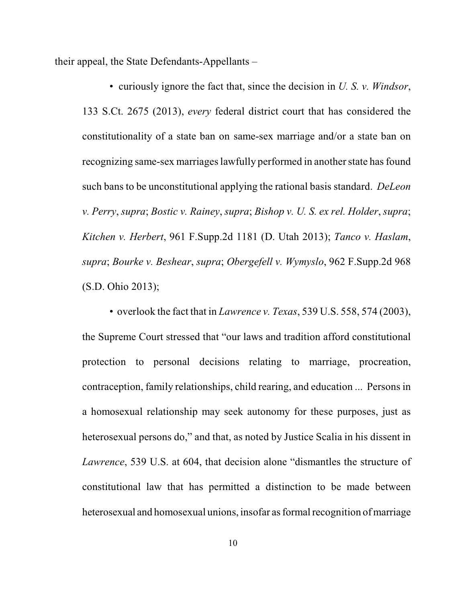their appeal, the State Defendants-Appellants –

• curiously ignore the fact that, since the decision in *U. S. v. Windsor*, 133 S.Ct. 2675 (2013), *every* federal district court that has considered the constitutionality of a state ban on same-sex marriage and/or a state ban on recognizing same-sex marriages lawfully performed in another state has found such bans to be unconstitutional applying the rational basis standard. *DeLeon v. Perry*, *supra*; *Bostic v. Rainey*, *supra*; *Bishop v. U. S. ex rel. Holder*, *supra*; *Kitchen v. Herbert*, 961 F.Supp.2d 1181 (D. Utah 2013); *Tanco v. Haslam*, *supra*; *Bourke v. Beshear*, *supra*; *Obergefell v. Wymyslo*, 962 F.Supp.2d 968 (S.D. Ohio 2013);

• overlook the fact that in *Lawrence v. Texas*, 539 U.S. 558, 574 (2003), the Supreme Court stressed that "our laws and tradition afford constitutional protection to personal decisions relating to marriage, procreation, contraception, family relationships, child rearing, and education ... Persons in a homosexual relationship may seek autonomy for these purposes, just as heterosexual persons do," and that, as noted by Justice Scalia in his dissent in *Lawrence*, 539 U.S. at 604, that decision alone "dismantles the structure of constitutional law that has permitted a distinction to be made between heterosexual and homosexual unions, insofar as formal recognition of marriage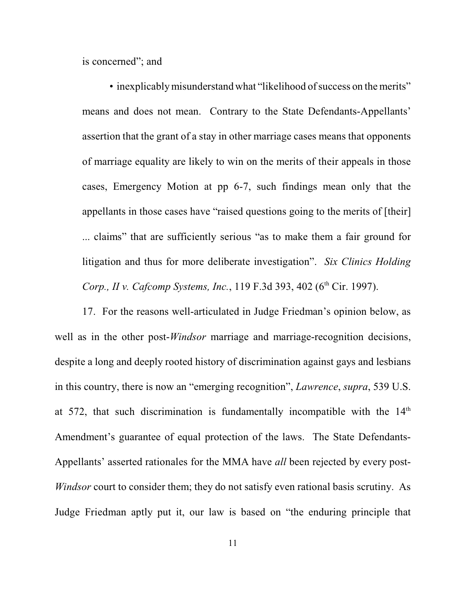is concerned"; and

• inexplicably misunderstand what "likelihood of success on the merits" means and does not mean. Contrary to the State Defendants-Appellants' assertion that the grant of a stay in other marriage cases means that opponents of marriage equality are likely to win on the merits of their appeals in those cases, Emergency Motion at pp 6-7, such findings mean only that the appellants in those cases have "raised questions going to the merits of [their] ... claims" that are sufficiently serious "as to make them a fair ground for litigation and thus for more deliberate investigation". *Six Clinics Holding Corp., II v. Cafcomp Systems, Inc.,* 119 F.3d 393, 402 (6<sup>th</sup> Cir. 1997).

17. For the reasons well-articulated in Judge Friedman's opinion below, as well as in the other post-*Windsor* marriage and marriage-recognition decisions, despite a long and deeply rooted history of discrimination against gays and lesbians in this country, there is now an "emerging recognition", *Lawrence*, *supra*, 539 U.S. at 572, that such discrimination is fundamentally incompatible with the  $14<sup>th</sup>$ Amendment's guarantee of equal protection of the laws. The State Defendants-Appellants' asserted rationales for the MMA have *all* been rejected by every post-*Windsor* court to consider them; they do not satisfy even rational basis scrutiny. As Judge Friedman aptly put it, our law is based on "the enduring principle that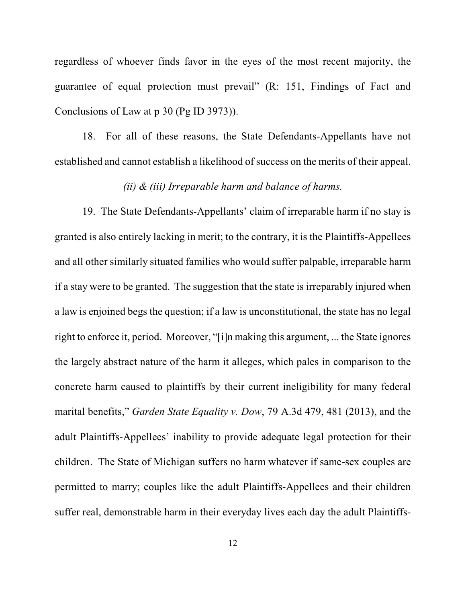regardless of whoever finds favor in the eyes of the most recent majority, the guarantee of equal protection must prevail" (R: 151, Findings of Fact and Conclusions of Law at p 30 (Pg ID 3973)).

18. For all of these reasons, the State Defendants-Appellants have not established and cannot establish a likelihood of success on the merits of their appeal.

### *(ii) & (iii) Irreparable harm and balance of harms.*

19. The State Defendants-Appellants' claim of irreparable harm if no stay is granted is also entirely lacking in merit; to the contrary, it is the Plaintiffs-Appellees and all other similarly situated families who would suffer palpable, irreparable harm if a stay were to be granted. The suggestion that the state is irreparably injured when a law is enjoined begs the question; if a law is unconstitutional, the state has no legal right to enforce it, period. Moreover, "[i]n making this argument, ... the State ignores the largely abstract nature of the harm it alleges, which pales in comparison to the concrete harm caused to plaintiffs by their current ineligibility for many federal marital benefits," *Garden State Equality v. Dow*, 79 A.3d 479, 481 (2013), and the adult Plaintiffs-Appellees' inability to provide adequate legal protection for their children. The State of Michigan suffers no harm whatever if same-sex couples are permitted to marry; couples like the adult Plaintiffs-Appellees and their children suffer real, demonstrable harm in their everyday lives each day the adult Plaintiffs-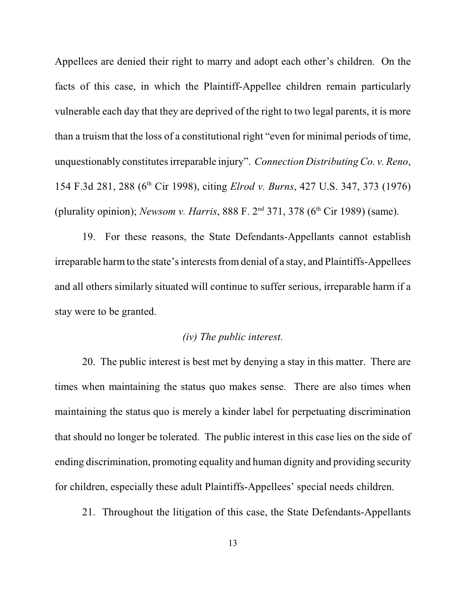Appellees are denied their right to marry and adopt each other's children. On the facts of this case, in which the Plaintiff-Appellee children remain particularly vulnerable each day that they are deprived of the right to two legal parents, it is more than a truism that the loss of a constitutional right "even for minimal periods of time, unquestionably constitutes irreparable injury". *Connection Distributing Co. v. Reno*, 154 F.3d 281, 288 (6<sup>th</sup> Cir 1998), citing *Elrod v. Burns*, 427 U.S. 347, 373 (1976) (plurality opinion); *Newsom v. Harris*,  $888$  F.  $2<sup>nd</sup>$  371, 378 (6<sup>th</sup> Cir 1989) (same).

19. For these reasons, the State Defendants-Appellants cannot establish irreparable harm to the state's interests from denial of a stay, and Plaintiffs-Appellees and all others similarly situated will continue to suffer serious, irreparable harm if a stay were to be granted.

## *(iv) The public interest.*

20. The public interest is best met by denying a stay in this matter. There are times when maintaining the status quo makes sense. There are also times when maintaining the status quo is merely a kinder label for perpetuating discrimination that should no longer be tolerated. The public interest in this case lies on the side of ending discrimination, promoting equality and human dignity and providing security for children, especially these adult Plaintiffs-Appellees' special needs children.

21. Throughout the litigation of this case, the State Defendants-Appellants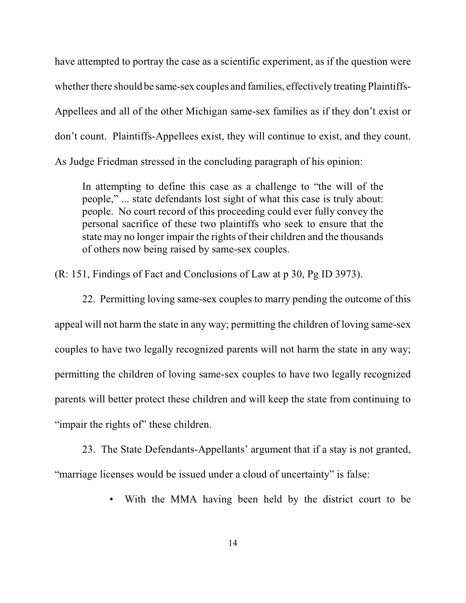have attempted to portray the case as a scientific experiment, as if the question were whether there should be same-sex couples and families, effectively treating Plaintiffs-Appellees and all of the other Michigan same-sex families as if they don't exist or don't count. Plaintiffs-Appellees exist, they will continue to exist, and they count. As Judge Friedman stressed in the concluding paragraph of his opinion:

In attempting to define this case as a challenge to "the will of the people," ... state defendants lost sight of what this case is truly about: people. No court record of this proceeding could ever fully convey the personal sacrifice of these two plaintiffs who seek to ensure that the state may no longer impair the rights of their children and the thousands of others now being raised by same-sex couples.

(R: 151, Findings of Fact and Conclusions of Law at p 30, Pg ID 3973).

22. Permitting loving same-sex couples to marry pending the outcome of this appeal will not harm the state in any way; permitting the children of loving same-sex couples to have two legally recognized parents will not harm the state in any way; permitting the children of loving same-sex couples to have two legally recognized parents will better protect these children and will keep the state from continuing to "impair the rights of" these children.

23. The State Defendants-Appellants' argument that if a stay is not granted, "marriage licenses would be issued under a cloud of uncertainty" is false:

• With the MMA having been held by the district court to be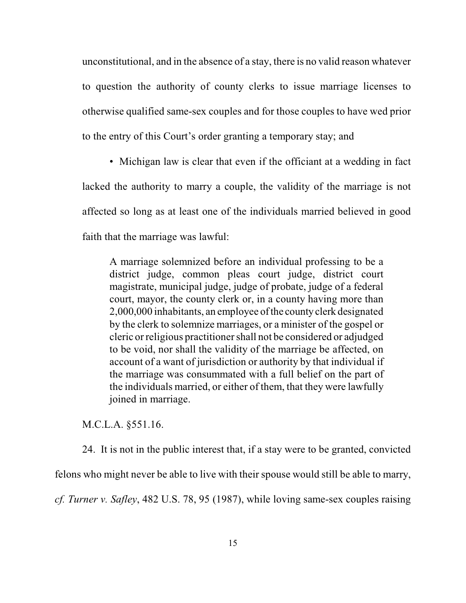unconstitutional, and in the absence of a stay, there is no valid reason whatever to question the authority of county clerks to issue marriage licenses to otherwise qualified same-sex couples and for those couples to have wed prior to the entry of this Court's order granting a temporary stay; and

• Michigan law is clear that even if the officiant at a wedding in fact lacked the authority to marry a couple, the validity of the marriage is not affected so long as at least one of the individuals married believed in good faith that the marriage was lawful:

A marriage solemnized before an individual professing to be a district judge, common pleas court judge, district court magistrate, municipal judge, judge of probate, judge of a federal court, mayor, the county clerk or, in a county having more than 2,000,000 inhabitants, an employee of the county clerk designated by the clerk to solemnize marriages, or a minister of the gospel or cleric or religious practitioner shall not be considered or adjudged to be void, nor shall the validity of the marriage be affected, on account of a want of jurisdiction or authority by that individual if the marriage was consummated with a full belief on the part of the individuals married, or either of them, that they were lawfully joined in marriage.

M.C.L.A. §551.16.

24. It is not in the public interest that, if a stay were to be granted, convicted

felons who might never be able to live with their spouse would still be able to marry,

*cf. Turner v. Safley*, 482 U.S. 78, 95 (1987), while loving same-sex couples raising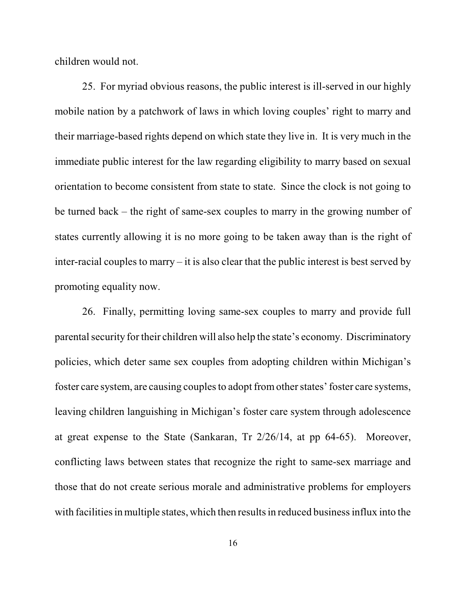children would not.

25. For myriad obvious reasons, the public interest is ill-served in our highly mobile nation by a patchwork of laws in which loving couples' right to marry and their marriage-based rights depend on which state they live in. It is very much in the immediate public interest for the law regarding eligibility to marry based on sexual orientation to become consistent from state to state. Since the clock is not going to be turned back – the right of same-sex couples to marry in the growing number of states currently allowing it is no more going to be taken away than is the right of inter-racial couples to marry – it is also clear that the public interest is best served by promoting equality now.

26. Finally, permitting loving same-sex couples to marry and provide full parental security for their children will also help the state's economy. Discriminatory policies, which deter same sex couples from adopting children within Michigan's foster care system, are causing couples to adopt from other states' foster care systems, leaving children languishing in Michigan's foster care system through adolescence at great expense to the State (Sankaran, Tr 2/26/14, at pp 64-65). Moreover, conflicting laws between states that recognize the right to same-sex marriage and those that do not create serious morale and administrative problems for employers with facilities in multiple states, which then results in reduced business influx into the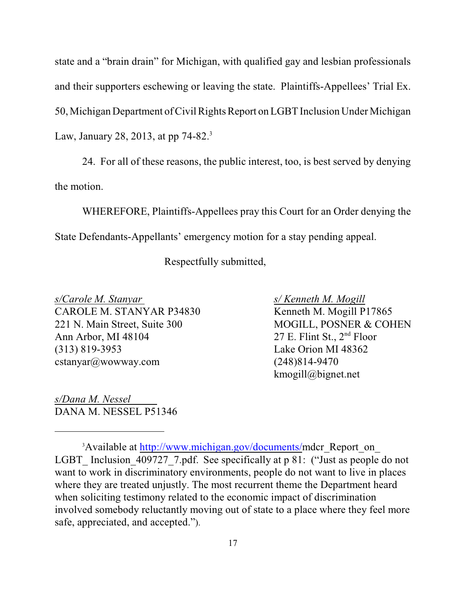state and a "brain drain" for Michigan, with qualified gay and lesbian professionals and their supporters eschewing or leaving the state. Plaintiffs-Appellees' Trial Ex. 50, Michigan Department of Civil Rights Report on LGBT Inclusion Under Michigan Law, January 28, 2013, at pp 74-82.<sup>3</sup>

24. For all of these reasons, the public interest, too, is best served by denying the motion.

WHEREFORE, Plaintiffs-Appellees pray this Court for an Order denying the State Defendants-Appellants' emergency motion for a stay pending appeal.

Respectfully submitted,

*s/Carole M. Stanyar s/ Kenneth M. Mogill* CAROLE M. STANYAR P34830 221 N. Main Street, Suite 300 MOGILL, POSNER & COHEN<br>Ann Arbor, MI 48104 27 E. Flint St., 2<sup>nd</sup> Floor Ann Arbor, MI 48104 (313) 819-3953 Lake Orion MI 48362 cstanyar@wowway.com (248)814-9470

kmogill@bignet.net

*s/Dana M. Nessel*  DANA M. NESSEL P51346

<sup>&</sup>lt;sup>3</sup> Available at <http://www.michigan.gov/documents/>mdcr\_Report\_on LGBT Inclusion 409727 7.pdf. See specifically at p 81: ("Just as people do not want to work in discriminatory environments, people do not want to live in places where they are treated unjustly. The most recurrent theme the Department heard when soliciting testimony related to the economic impact of discrimination involved somebody reluctantly moving out of state to a place where they feel more safe, appreciated, and accepted.").